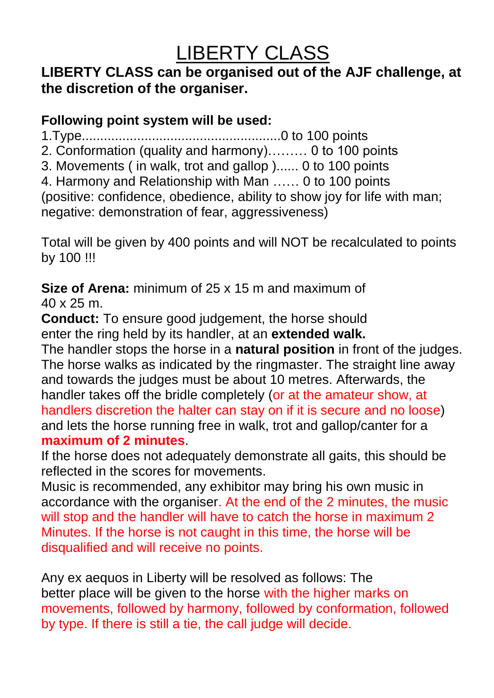## LIBERTY CLASS

## **LIBERTY CLASS can be organised out of the AJF challenge, at the discretion of the organiser.**

**Following point system will be used:**

**1.Type......................................................0 to 100 points**

**2. Conformation (quality and harmony)……… 0 to 100 points**

**3. Movements ( in walk, trot and gallop )...... 0 to 100 points**

**4. Harmony and Relationship with Man …… 0 to 100 points (positive: confidence, obedience, ability to show joy for life with man; negative: demonstration of fear, aggressiveness)**

**Total will be given by 400 points and will NOT be recalculated to points by 100 !!!**

**Size of Arena: minimum of 25 x 15 m and maximum of 40 x 25 m.**

**Conduct: To ensure good judgement, the horse should enter the ring held by its handler, at an extended walk.**

**The handler stops the horse in a natural position in front of the judges. The horse walks as indicated by the ringmaster. The straight line away and towards the judges must be about 10 metres. Afterwards, the handler takes off the bridle completely (or at the amateur show, at handlers discretion the halter can stay on if it is secure and no loose) and lets the horse running free in walk, trot and gallop/canter for a maximum of 2 minutes.**

**If the horse does not adequately demonstrate all gaits, this should be reflected in the scores for movements.**

**Music is recommended, any exhibitor may bring his own music in accordance with the organiser. At the end of the 2 minutes, the music will stop and the handler will have to catch the horse in maximum 2 Minutes. If the horse is not caught in this time, the horse will be disqualified and will receive no points.**

**Any ex aequos in Liberty will be resolved as follows: The better place will be given to the horse with the higher marks on movements, followed by harmony, followed by conformation, followed by type. If there is still a tie, the call judge will decide.**